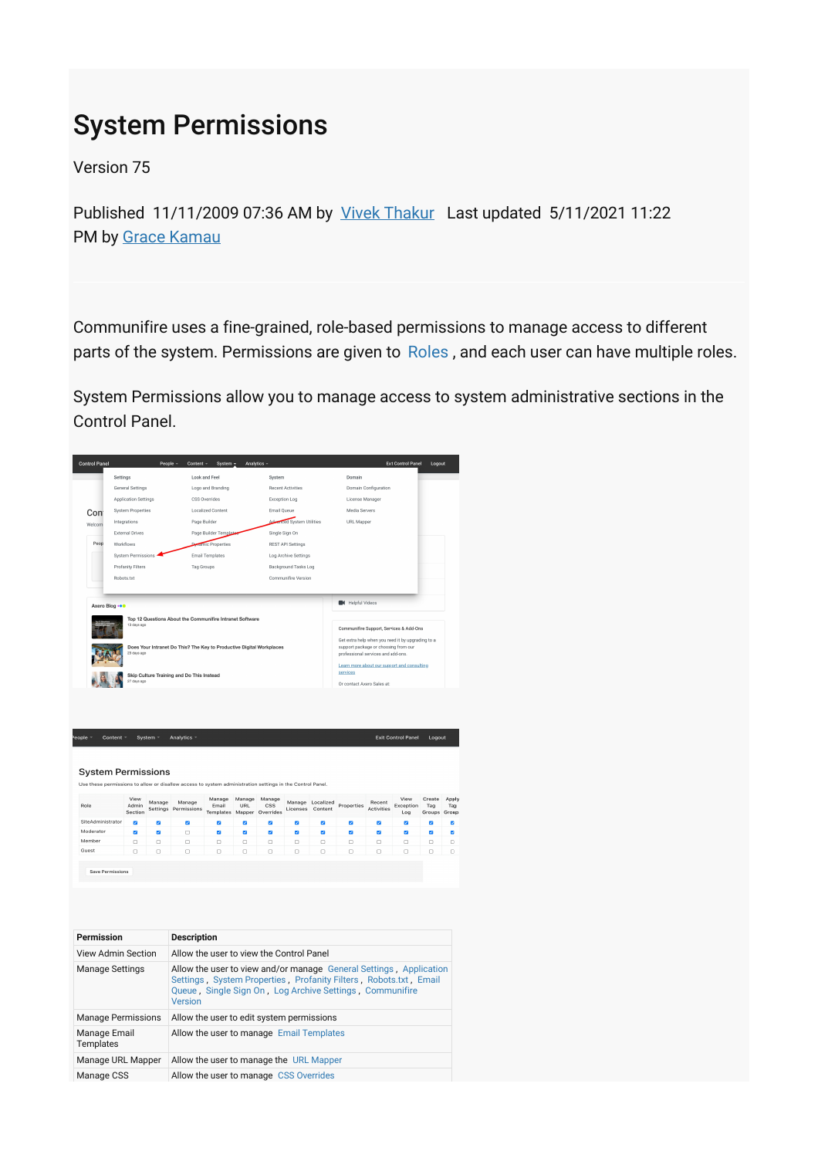# System Permissions

Version 75

Published 11/11/2009 07:36 AM by [Vivek Thakur](https://my.axerosolutions.com/people/vivek-thakur) Last updated 5/11/2021 11:22 PM by [Grace Kamau](https://my.axerosolutions.com/people/gskamau)

Communifire uses a fine-grained, role-based permissions to manage access to different parts of the system. Permissions are given to [Roles](https://my.axerosolutions.com/spaces/5/communifire-documentation/wiki/view/22103/roles), and each user can have multiple roles.

System Permissions allow you to manage access to system administrative sections in the Control Panel.

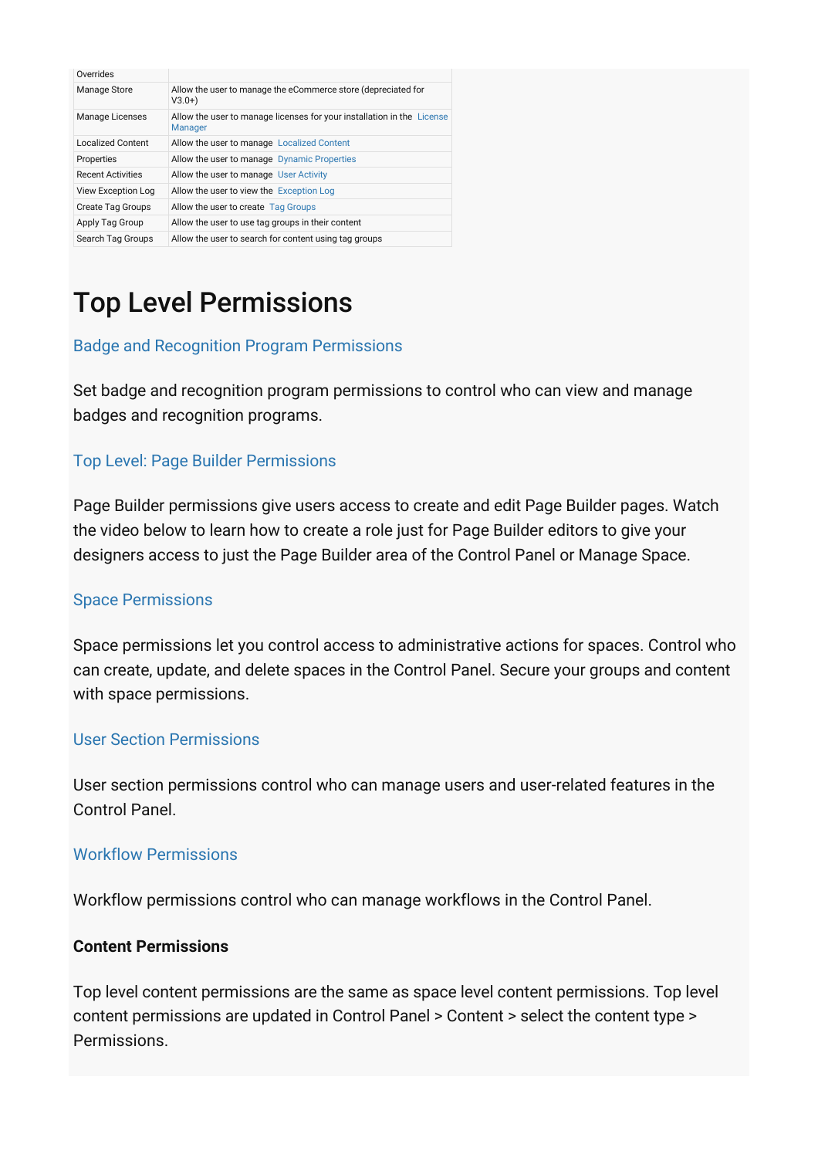| Overrides                |                                                                                          |
|--------------------------|------------------------------------------------------------------------------------------|
| Manage Store             | Allow the user to manage the eCommerce store (depreciated for<br>$V3.0+$                 |
| <b>Manage Licenses</b>   | Allow the user to manage licenses for your installation in the License<br><b>Manager</b> |
| <b>Localized Content</b> | Allow the user to manage Localized Content                                               |
| Properties               | Allow the user to manage Dynamic Properties                                              |
| <b>Recent Activities</b> | Allow the user to manage User Activity                                                   |
| View Exception Log       | Allow the user to view the Exception Log                                                 |
| <b>Create Tag Groups</b> | Allow the user to create Tag Groups                                                      |
| Apply Tag Group          | Allow the user to use tag groups in their content                                        |
| Search Tag Groups        | Allow the user to search for content using tag groups                                    |

# Top Level Permissions

## [Badge and Recognition Program Permissions](https://my.axerosolutions.com/spaces/5/communifire-documentation/wiki/view/22173/badge-and-recognition-program-permissions)

Set badge and recognition program permissions to control who can view and manage badges and recognition programs.

### [Top Level: Page Builder Permissions](https://my.axerosolutions.com/spaces/5/communifire-documentation/wiki/view/26882/top-level-page-builder-permissions)

Page Builder permissions give users access to create and edit Page Builder pages. Watch the video below to learn how to create a role just for Page Builder editors to give your designers access to just the Page Builder area of the Control Panel or Manage Space.

#### [Space Permissions](https://my.axerosolutions.com/spaces/5/communifire-documentation/wiki/view/22162/space-permissions)

Space permissions let you control access to administrative actions for spaces. Control who can create, update, and delete spaces in the Control Panel. Secure your groups and content with space permissions.

#### [User Section Permissions](https://my.axerosolutions.com/spaces/5/communifire-documentation/wiki/view/22134/user-section-permissions)

User section permissions control who can manage users and user-related features in the Control Panel.

#### [Workflow Permissions](https://my.axerosolutions.com/spaces/5/communifire-documentation/wiki/view/22309/workflow-permissions)

Workflow permissions control who can manage workflows in the Control Panel.

#### **Content Permissions**

Top level content permissions are the same as space level content permissions. Top level content permissions are updated in Control Panel > Content > select the content type > Permissions.